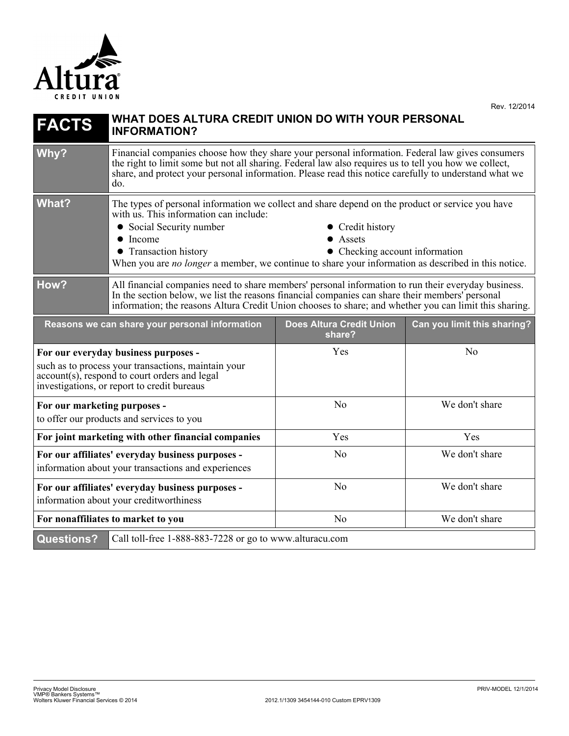

| <b>FACTS</b>                                                                                                                                                                                | WHAT DOES ALTURA CREDIT UNION DO WITH YOUR PERSONAL<br><b>INFORMATION?</b>                                                                                                                                                                                                                                                                                                                   |                                           |                             |
|---------------------------------------------------------------------------------------------------------------------------------------------------------------------------------------------|----------------------------------------------------------------------------------------------------------------------------------------------------------------------------------------------------------------------------------------------------------------------------------------------------------------------------------------------------------------------------------------------|-------------------------------------------|-----------------------------|
| Why?                                                                                                                                                                                        | Financial companies choose how they share your personal information. Federal law gives consumers<br>the right to limit some but not all sharing. Federal law also requires us to tell you how we collect,<br>share, and protect your personal information. Please read this notice carefully to understand what we<br>do.                                                                    |                                           |                             |
| <b>What?</b>                                                                                                                                                                                | The types of personal information we collect and share depend on the product or service you have<br>with us. This information can include:<br>• Social Security number<br>• Credit history<br>$\bullet$ Income<br>• Assets<br>• Transaction history<br>• Checking account information<br>When you are no longer a member, we continue to share your information as described in this notice. |                                           |                             |
| How?                                                                                                                                                                                        | All financial companies need to share members' personal information to run their everyday business.<br>In the section below, we list the reasons financial companies can share their members' personal<br>information; the reasons Altura Credit Union chooses to share; and whether you can limit this sharing.                                                                             |                                           |                             |
| Reasons we can share your personal information                                                                                                                                              |                                                                                                                                                                                                                                                                                                                                                                                              | <b>Does Altura Credit Union</b><br>share? | Can you limit this sharing? |
| For our everyday business purposes -<br>such as to process your transactions, maintain your<br>account(s), respond to court orders and legal<br>investigations, or report to credit bureaus |                                                                                                                                                                                                                                                                                                                                                                                              | Yes                                       | N <sub>0</sub>              |
| For our marketing purposes -<br>to offer our products and services to you                                                                                                                   |                                                                                                                                                                                                                                                                                                                                                                                              | N <sub>o</sub>                            | We don't share              |
| For joint marketing with other financial companies                                                                                                                                          |                                                                                                                                                                                                                                                                                                                                                                                              | Yes                                       | Yes                         |
| For our affiliates' everyday business purposes -<br>information about your transactions and experiences                                                                                     |                                                                                                                                                                                                                                                                                                                                                                                              | No                                        | We don't share              |
| For our affiliates' everyday business purposes -<br>information about your creditworthiness                                                                                                 |                                                                                                                                                                                                                                                                                                                                                                                              | No                                        | We don't share              |
| For nonaffiliates to market to you                                                                                                                                                          |                                                                                                                                                                                                                                                                                                                                                                                              | N <sub>o</sub>                            | We don't share              |
| <b>Questions?</b>                                                                                                                                                                           | Call toll-free 1-888-883-7228 or go to www.alturacu.com                                                                                                                                                                                                                                                                                                                                      |                                           |                             |